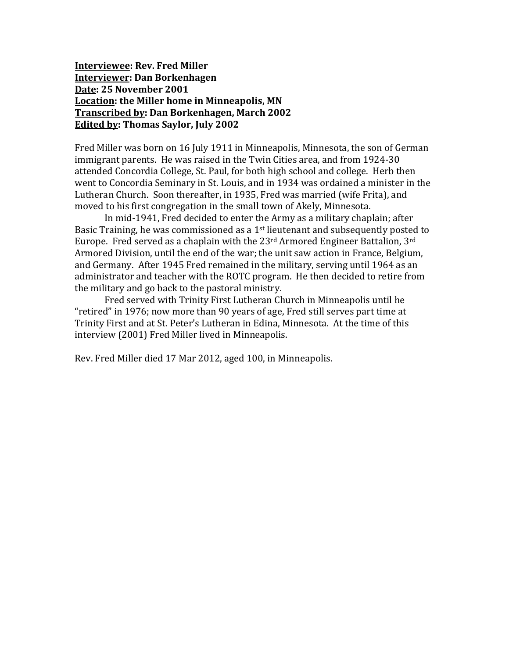**Interviewee: Rev. Fred Miller Interviewer: Dan Borkenhagen Date: 25 November 2001 Location: the Miller home in Minneapolis, MN Transcribed by: Dan Borkenhagen, March 2002 Edited by: Thomas Saylor, July 2002**

Fred Miller was born on 16 July 1911 in Minneapolis, Minnesota, the son of German immigrant parents. He was raised in the Twin Cities area, and from 1924-30 attended Concordia College, St. Paul, for both high school and college. Herb then went to Concordia Seminary in St. Louis, and in 1934 was ordained a minister in the Lutheran Church. Soon thereafter, in 1935, Fred was married (wife Frita), and moved to his first congregation in the small town of Akely, Minnesota.

In mid-1941, Fred decided to enter the Army as a military chaplain; after Basic Training, he was commissioned as a  $1<sup>st</sup>$  lieutenant and subsequently posted to Europe. Fred served as a chaplain with the 23rd Armored Engineer Battalion, 3rd Armored Division, until the end of the war; the unit saw action in France, Belgium, and Germany. After 1945 Fred remained in the military, serving until 1964 as an administrator and teacher with the ROTC program. He then decided to retire from the military and go back to the pastoral ministry.

Fred served with Trinity First Lutheran Church in Minneapolis until he "retired" in 1976; now more than 90 years of age, Fred still serves part time at Trinity First and at St. Peter's Lutheran in Edina, Minnesota. At the time of this interview (2001) Fred Miller lived in Minneapolis.

Rev. Fred Miller died 17 Mar 2012, aged 100, in Minneapolis.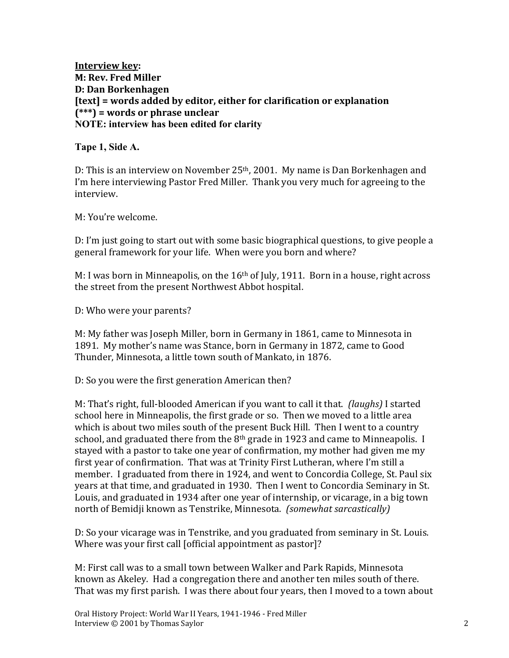**Interview key: M: Rev. Fred Miller D: Dan Borkenhagen [text] = words added by editor, either for clarification or explanation (\*\*\*) = words or phrase unclear NOTE: interview has been edited for clarity**

**Tape 1, Side A.**

D: This is an interview on November 25th, 2001. My name is Dan Borkenhagen and I'm here interviewing Pastor Fred Miller. Thank you very much for agreeing to the interview.

M: You're welcome.

D: I'm just going to start out with some basic biographical questions, to give people a general framework for your life. When were you born and where?

M: I was born in Minneapolis, on the  $16<sup>th</sup>$  of July, 1911. Born in a house, right across the street from the present Northwest Abbot hospital.

D: Who were your parents?

M: My father was Joseph Miller, born in Germany in 1861, came to Minnesota in 1891. My mother's name was Stance, born in Germany in 1872, came to Good Thunder, Minnesota, a little town south of Mankato, in 1876.

D: So you were the first generation American then?

M: That's right, full-blooded American if you want to call it that. *(laughs)* I started school here in Minneapolis, the first grade or so. Then we moved to a little area which is about two miles south of the present Buck Hill. Then I went to a country school, and graduated there from the  $8<sup>th</sup>$  grade in 1923 and came to Minneapolis. I stayed with a pastor to take one year of confirmation, my mother had given me my first year of confirmation. That was at Trinity First Lutheran, where I'm still a member. I graduated from there in 1924, and went to Concordia College, St. Paul six years at that time, and graduated in 1930. Then I went to Concordia Seminary in St. Louis, and graduated in 1934 after one year of internship, or vicarage, in a big town north of Bemidji known as Tenstrike, Minnesota. *(somewhat sarcastically)*

D: So your vicarage was in Tenstrike, and you graduated from seminary in St. Louis. Where was your first call [official appointment as pastor]?

M: First call was to a small town between Walker and Park Rapids, Minnesota known as Akeley. Had a congregation there and another ten miles south of there. That was my first parish. I was there about four years, then I moved to a town about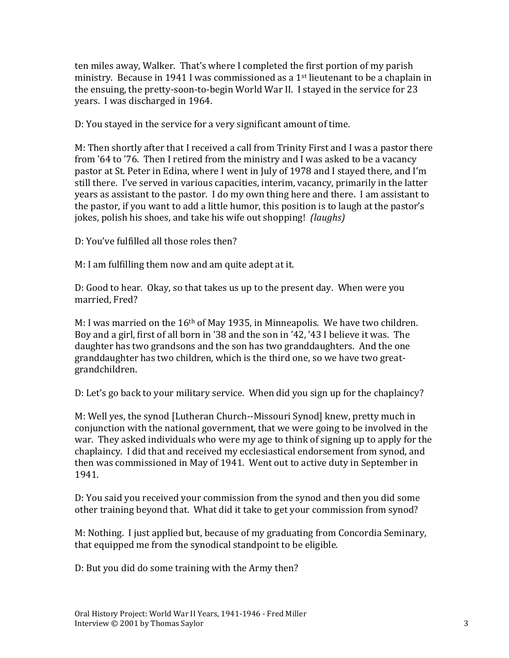ten miles away, Walker. That's where I completed the first portion of my parish ministry. Because in 1941 I was commissioned as a 1st lieutenant to be a chaplain in the ensuing, the pretty-soon-to-begin World War II. I stayed in the service for 23 years. I was discharged in 1964.

D: You stayed in the service for a very significant amount of time.

M: Then shortly after that I received a call from Trinity First and I was a pastor there from '64 to '76. Then I retired from the ministry and I was asked to be a vacancy pastor at St. Peter in Edina, where I went in July of 1978 and I stayed there, and I'm still there. I've served in various capacities, interim, vacancy, primarily in the latter years as assistant to the pastor. I do my own thing here and there. I am assistant to the pastor, if you want to add a little humor, this position is to laugh at the pastor's jokes, polish his shoes, and take his wife out shopping! *(laughs)*

D: You've fulfilled all those roles then?

M: I am fulfilling them now and am quite adept at it.

D: Good to hear. Okay, so that takes us up to the present day. When were you married, Fred?

M: I was married on the  $16<sup>th</sup>$  of May 1935, in Minneapolis. We have two children. Boy and a girl, first of all born in '38 and the son in '42, '43 I believe it was. The daughter has two grandsons and the son has two granddaughters. And the one granddaughter has two children, which is the third one, so we have two greatgrandchildren.

D: Let's go back to your military service. When did you sign up for the chaplaincy?

M: Well yes, the synod [Lutheran Church--Missouri Synod] knew, pretty much in conjunction with the national government, that we were going to be involved in the war. They asked individuals who were my age to think of signing up to apply for the chaplaincy. I did that and received my ecclesiastical endorsement from synod, and then was commissioned in May of 1941. Went out to active duty in September in 1941.

D: You said you received your commission from the synod and then you did some other training beyond that. What did it take to get your commission from synod?

M: Nothing. I just applied but, because of my graduating from Concordia Seminary, that equipped me from the synodical standpoint to be eligible.

D: But you did do some training with the Army then?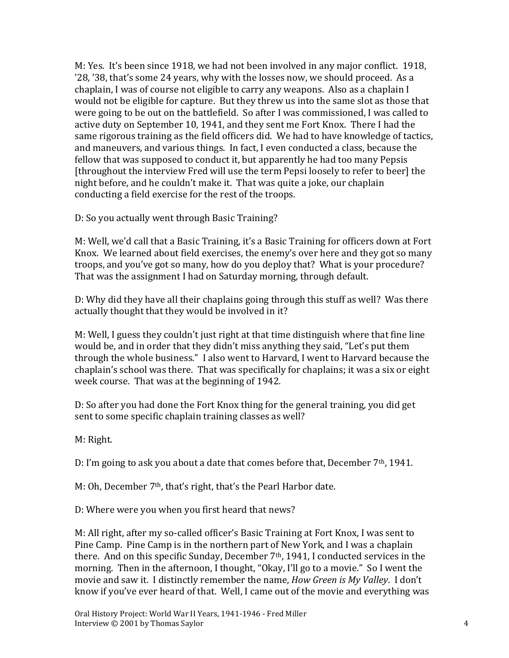M: Yes. It's been since 1918, we had not been involved in any major conflict. 1918, '28, '38, that's some 24 years, why with the losses now, we should proceed. As a chaplain, I was of course not eligible to carry any weapons. Also as a chaplain I would not be eligible for capture. But they threw us into the same slot as those that were going to be out on the battlefield. So after I was commissioned, I was called to active duty on September 10, 1941, and they sent me Fort Knox. There I had the same rigorous training as the field officers did. We had to have knowledge of tactics, and maneuvers, and various things. In fact, I even conducted a class, because the fellow that was supposed to conduct it, but apparently he had too many Pepsis [throughout the interview Fred will use the term Pepsi loosely to refer to beer] the night before, and he couldn't make it. That was quite a joke, our chaplain conducting a field exercise for the rest of the troops.

D: So you actually went through Basic Training?

M: Well, we'd call that a Basic Training, it's a Basic Training for officers down at Fort Knox. We learned about field exercises, the enemy's over here and they got so many troops, and you've got so many, how do you deploy that? What is your procedure? That was the assignment I had on Saturday morning, through default.

D: Why did they have all their chaplains going through this stuff as well? Was there actually thought that they would be involved in it?

M: Well, I guess they couldn't just right at that time distinguish where that fine line would be, and in order that they didn't miss anything they said, "Let's put them through the whole business." I also went to Harvard, I went to Harvard because the chaplain's school was there. That was specifically for chaplains; it was a six or eight week course. That was at the beginning of 1942.

D: So after you had done the Fort Knox thing for the general training, you did get sent to some specific chaplain training classes as well?

M: Right.

D: I'm going to ask you about a date that comes before that, December  $7<sup>th</sup>$ , 1941.

M: Oh, December 7th, that's right, that's the Pearl Harbor date.

D: Where were you when you first heard that news?

M: All right, after my so-called officer's Basic Training at Fort Knox, I was sent to Pine Camp. Pine Camp is in the northern part of New York, and I was a chaplain there. And on this specific Sunday, December 7th, 1941, I conducted services in the morning. Then in the afternoon, I thought, "Okay, I'll go to a movie." So I went the movie and saw it. I distinctly remember the name, *How Green is My Valley*. I don't know if you've ever heard of that. Well, I came out of the movie and everything was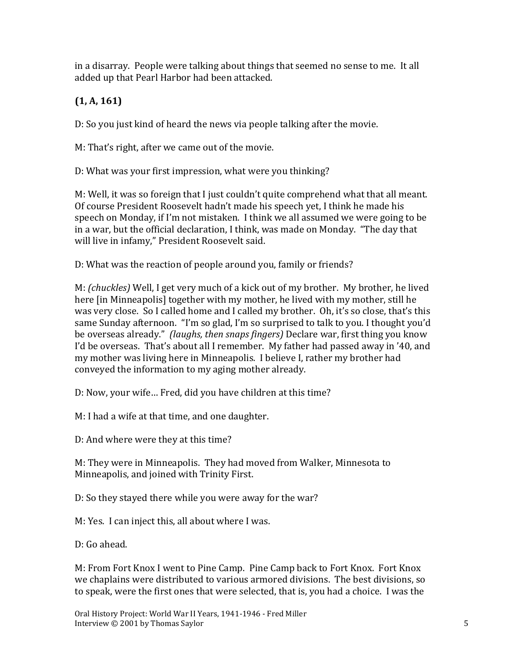in a disarray. People were talking about things that seemed no sense to me. It all added up that Pearl Harbor had been attacked.

# **(1, A, 161)**

D: So you just kind of heard the news via people talking after the movie.

M: That's right, after we came out of the movie.

D: What was your first impression, what were you thinking?

M: Well, it was so foreign that I just couldn't quite comprehend what that all meant. Of course President Roosevelt hadn't made his speech yet, I think he made his speech on Monday, if I'm not mistaken. I think we all assumed we were going to be in a war, but the official declaration, I think, was made on Monday. "The day that will live in infamy," President Roosevelt said.

D: What was the reaction of people around you, family or friends?

M: *(chuckles)* Well, I get very much of a kick out of my brother. My brother, he lived here [in Minneapolis] together with my mother, he lived with my mother, still he was very close. So I called home and I called my brother. Oh, it's so close, that's this same Sunday afternoon. "I'm so glad, I'm so surprised to talk to you. I thought you'd be overseas already." *(laughs, then snaps fingers)* Declare war, first thing you know I'd be overseas. That's about all I remember. My father had passed away in '40, and my mother was living here in Minneapolis. I believe I, rather my brother had conveyed the information to my aging mother already.

D: Now, your wife… Fred, did you have children at this time?

M: I had a wife at that time, and one daughter.

D: And where were they at this time?

M: They were in Minneapolis. They had moved from Walker, Minnesota to Minneapolis, and joined with Trinity First.

D: So they stayed there while you were away for the war?

M: Yes. I can inject this, all about where I was.

D: Go ahead.

M: From Fort Knox I went to Pine Camp. Pine Camp back to Fort Knox. Fort Knox we chaplains were distributed to various armored divisions. The best divisions, so to speak, were the first ones that were selected, that is, you had a choice. I was the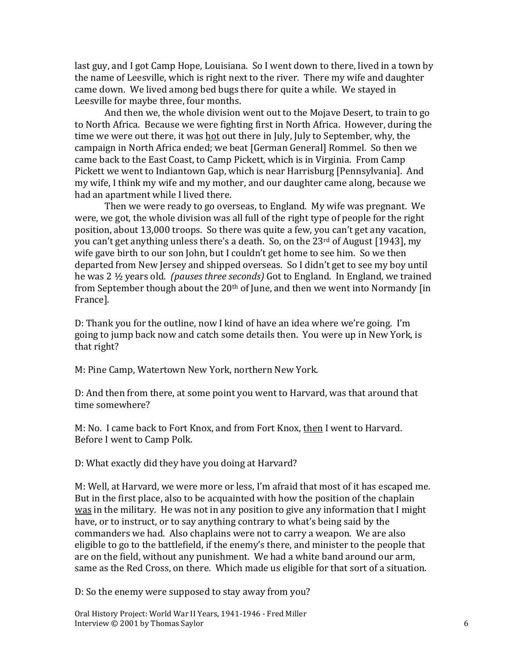last guy, and I got Camp Hope, Louisiana. So I went down to there, lived in a town by the name of Leesville, which is right next to the river. There my wife and daughter came down. We lived among bed bugs there for quite a while. We stayed in Leesville for maybe three, four months.

And then we, the whole division went out to the Mojave Desert, to train to go to North Africa. Because we were fighting first in North Africa. However, during the time we were out there, it was hot out there in July, July to September, why, the campaign in North Africa ended; we beat [German General] Rommel. So then we came back to the East Coast, to Camp Pickett, which is in Virginia. From Camp Pickett we went to Indiantown Gap, which is near Harrisburg [Pennsylvania]. And my wife, I think my wife and my mother, and our daughter came along, because we had an apartment while I lived there.

Then we were ready to go overseas, to England. My wife was pregnant. We were, we got, the whole division was all full of the right type of people for the right position, about 13,000 troops. So there was quite a few, you can't get any vacation, you can't get anything unless there's a death. So, on the 23<sup>rd</sup> of August [1943], my wife gave birth to our son John, but I couldn't get home to see him. So we then departed from New Jersey and shipped overseas. So I didn't get to see my boy until he was 2 ½ years old. *(pauses three seconds)* Got to England. In England, we trained from September though about the  $20<sup>th</sup>$  of June, and then we went into Normandy [in France].

D: Thank you for the outline, now I kind of have an idea where we're going. I'm going to jump back now and catch some details then. You were up in New York, is that right?

M: Pine Camp, Watertown New York, northern New York.

D: And then from there, at some point you went to Harvard, was that around that time somewhere?

M: No. I came back to Fort Knox, and from Fort Knox, then I went to Harvard. Before I went to Camp Polk.

D: What exactly did they have you doing at Harvard?

M: Well, at Harvard, we were more or less, I'm afraid that most of it has escaped me. But in the first place, also to be acquainted with how the position of the chaplain was in the military. He was not in any position to give any information that I might have, or to instruct, or to say anything contrary to what's being said by the commanders we had. Also chaplains were not to carry a weapon. We are also eligible to go to the battlefield, if the enemy's there, and minister to the people that are on the field, without any punishment. We had a white band around our arm, same as the Red Cross, on there. Which made us eligible for that sort of a situation.

D: So the enemy were supposed to stay away from you?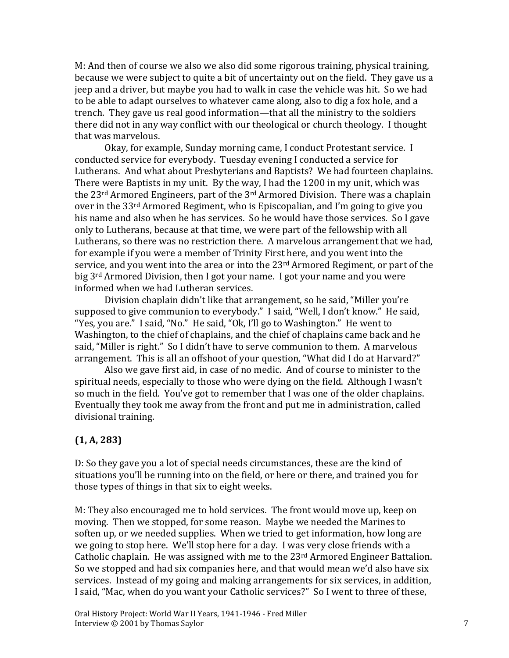M: And then of course we also we also did some rigorous training, physical training, because we were subject to quite a bit of uncertainty out on the field. They gave us a jeep and a driver, but maybe you had to walk in case the vehicle was hit. So we had to be able to adapt ourselves to whatever came along, also to dig a fox hole, and a trench. They gave us real good information—that all the ministry to the soldiers there did not in any way conflict with our theological or church theology. I thought that was marvelous.

Okay, for example, Sunday morning came, I conduct Protestant service. I conducted service for everybody. Tuesday evening I conducted a service for Lutherans. And what about Presbyterians and Baptists? We had fourteen chaplains. There were Baptists in my unit. By the way, I had the 1200 in my unit, which was the 23rd Armored Engineers, part of the 3rd Armored Division. There was a chaplain over in the 33rd Armored Regiment, who is Episcopalian, and I'm going to give you his name and also when he has services. So he would have those services. So I gave only to Lutherans, because at that time, we were part of the fellowship with all Lutherans, so there was no restriction there. A marvelous arrangement that we had, for example if you were a member of Trinity First here, and you went into the service, and you went into the area or into the 23<sup>rd</sup> Armored Regiment, or part of the big 3rd Armored Division, then I got your name. I got your name and you were informed when we had Lutheran services.

Division chaplain didn't like that arrangement, so he said, "Miller you're supposed to give communion to everybody." I said, "Well, I don't know." He said, "Yes, you are." I said, "No." He said, "Ok, I'll go to Washington." He went to Washington, to the chief of chaplains, and the chief of chaplains came back and he said, "Miller is right." So I didn't have to serve communion to them. A marvelous arrangement. This is all an offshoot of your question, "What did I do at Harvard?"

Also we gave first aid, in case of no medic. And of course to minister to the spiritual needs, especially to those who were dying on the field. Although I wasn't so much in the field. You've got to remember that I was one of the older chaplains. Eventually they took me away from the front and put me in administration, called divisional training.

## **(1, A, 283)**

D: So they gave you a lot of special needs circumstances, these are the kind of situations you'll be running into on the field, or here or there, and trained you for those types of things in that six to eight weeks.

M: They also encouraged me to hold services. The front would move up, keep on moving. Then we stopped, for some reason. Maybe we needed the Marines to soften up, or we needed supplies. When we tried to get information, how long are we going to stop here. We'll stop here for a day. I was very close friends with a Catholic chaplain. He was assigned with me to the 23rd Armored Engineer Battalion. So we stopped and had six companies here, and that would mean we'd also have six services. Instead of my going and making arrangements for six services, in addition, I said, "Mac, when do you want your Catholic services?" So I went to three of these,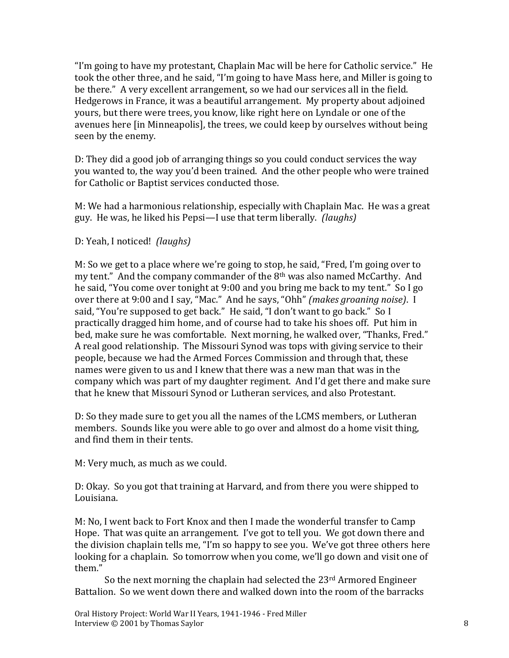"I'm going to have my protestant, Chaplain Mac will be here for Catholic service." He took the other three, and he said, "I'm going to have Mass here, and Miller is going to be there." A very excellent arrangement, so we had our services all in the field. Hedgerows in France, it was a beautiful arrangement. My property about adjoined yours, but there were trees, you know, like right here on Lyndale or one of the avenues here [in Minneapolis], the trees, we could keep by ourselves without being seen by the enemy.

D: They did a good job of arranging things so you could conduct services the way you wanted to, the way you'd been trained. And the other people who were trained for Catholic or Baptist services conducted those.

M: We had a harmonious relationship, especially with Chaplain Mac. He was a great guy. He was, he liked his Pepsi—I use that term liberally. *(laughs)*

### D: Yeah, I noticed! *(laughs)*

M: So we get to a place where we're going to stop, he said, "Fred, I'm going over to my tent." And the company commander of the 8<sup>th</sup> was also named McCarthy. And he said, "You come over tonight at 9:00 and you bring me back to my tent." So I go over there at 9:00 and I say, "Mac." And he says, "Ohh" *(makes groaning noise)*. I said, "You're supposed to get back." He said, "I don't want to go back." So I practically dragged him home, and of course had to take his shoes off. Put him in bed, make sure he was comfortable. Next morning, he walked over, "Thanks, Fred." A real good relationship. The Missouri Synod was tops with giving service to their people, because we had the Armed Forces Commission and through that, these names were given to us and I knew that there was a new man that was in the company which was part of my daughter regiment. And I'd get there and make sure that he knew that Missouri Synod or Lutheran services, and also Protestant.

D: So they made sure to get you all the names of the LCMS members, or Lutheran members. Sounds like you were able to go over and almost do a home visit thing, and find them in their tents.

M: Very much, as much as we could.

D: Okay. So you got that training at Harvard, and from there you were shipped to Louisiana.

M: No, I went back to Fort Knox and then I made the wonderful transfer to Camp Hope. That was quite an arrangement. I've got to tell you. We got down there and the division chaplain tells me, "I'm so happy to see you. We've got three others here looking for a chaplain. So tomorrow when you come, we'll go down and visit one of them."

So the next morning the chaplain had selected the 23<sup>rd</sup> Armored Engineer Battalion. So we went down there and walked down into the room of the barracks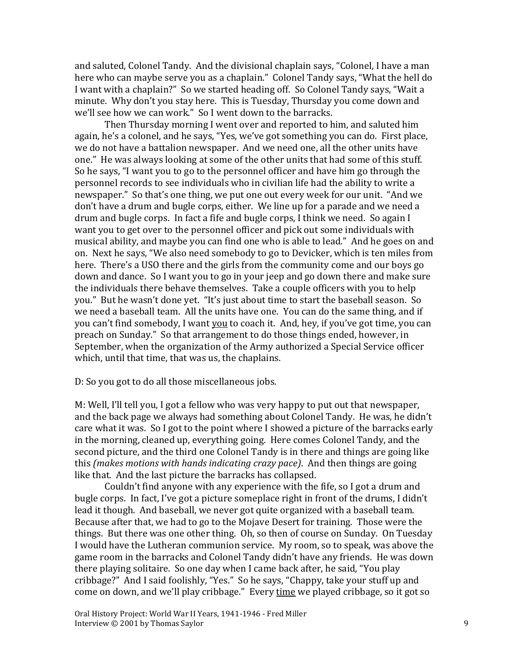and saluted, Colonel Tandy. And the divisional chaplain says, "Colonel, I have a man here who can maybe serve you as a chaplain." Colonel Tandy says, "What the hell do I want with a chaplain?" So we started heading off. So Colonel Tandy says, "Wait a minute. Why don't you stay here. This is Tuesday, Thursday you come down and we'll see how we can work." So I went down to the barracks.

Then Thursday morning I went over and reported to him, and saluted him again, he's a colonel, and he says, "Yes, we've got something you can do. First place, we do not have a battalion newspaper. And we need one, all the other units have one." He was always looking at some of the other units that had some of this stuff. So he says, "I want you to go to the personnel officer and have him go through the personnel records to see individuals who in civilian life had the ability to write a newspaper." So that's one thing, we put one out every week for our unit. "And we don't have a drum and bugle corps, either. We line up for a parade and we need a drum and bugle corps. In fact a fife and bugle corps, I think we need. So again I want you to get over to the personnel officer and pick out some individuals with musical ability, and maybe you can find one who is able to lead." And he goes on and on. Next he says, "We also need somebody to go to Devicker, which is ten miles from here. There's a USO there and the girls from the community come and our boys go down and dance. So I want you to go in your jeep and go down there and make sure the individuals there behave themselves. Take a couple officers with you to help you." But he wasn't done yet. "It's just about time to start the baseball season. So we need a baseball team. All the units have one. You can do the same thing, and if you can't find somebody, I want you to coach it. And, hey, if you've got time, you can preach on Sunday." So that arrangement to do those things ended, however, in September, when the organization of the Army authorized a Special Service officer which, until that time, that was us, the chaplains.

#### D: So you got to do all those miscellaneous jobs.

M: Well, I'll tell you, I got a fellow who was very happy to put out that newspaper, and the back page we always had something about Colonel Tandy. He was, he didn't care what it was. So I got to the point where I showed a picture of the barracks early in the morning, cleaned up, everything going. Here comes Colonel Tandy, and the second picture, and the third one Colonel Tandy is in there and things are going like this *(makes motions with hands indicating crazy pace)*. And then things are going like that. And the last picture the barracks has collapsed.

Couldn't find anyone with any experience with the fife, so I got a drum and bugle corps. In fact, I've got a picture someplace right in front of the drums, I didn't lead it though. And baseball, we never got quite organized with a baseball team. Because after that, we had to go to the Mojave Desert for training. Those were the things. But there was one other thing. Oh, so then of course on Sunday. On Tuesday I would have the Lutheran communion service. My room, so to speak, was above the game room in the barracks and Colonel Tandy didn't have any friends. He was down there playing solitaire. So one day when I came back after, he said, "You play cribbage?" And I said foolishly, "Yes." So he says, "Chappy, take your stuff up and come on down, and we'll play cribbage." Every time we played cribbage, so it got so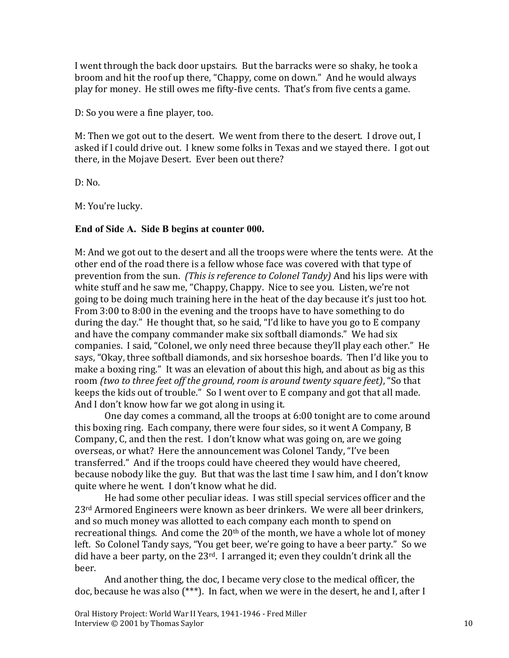I went through the back door upstairs. But the barracks were so shaky, he took a broom and hit the roof up there, "Chappy, come on down." And he would always play for money. He still owes me fifty-five cents. That's from five cents a game.

D: So you were a fine player, too.

M: Then we got out to the desert. We went from there to the desert. I drove out, I asked if I could drive out. I knew some folks in Texas and we stayed there. I got out there, in the Mojave Desert. Ever been out there?

 $D: No.$ 

M: You're lucky.

### **End of Side A. Side B begins at counter 000.**

M: And we got out to the desert and all the troops were where the tents were. At the other end of the road there is a fellow whose face was covered with that type of prevention from the sun. *(This is reference to Colonel Tandy)* And his lips were with white stuff and he saw me, "Chappy, Chappy. Nice to see you. Listen, we're not going to be doing much training here in the heat of the day because it's just too hot. From 3:00 to 8:00 in the evening and the troops have to have something to do during the day." He thought that, so he said, "I'd like to have you go to E company and have the company commander make six softball diamonds." We had six companies. I said, "Colonel, we only need three because they'll play each other." He says, "Okay, three softball diamonds, and six horseshoe boards. Then I'd like you to make a boxing ring." It was an elevation of about this high, and about as big as this room *(two to three feet off the ground, room is around twenty square feet)*, "So that keeps the kids out of trouble." So I went over to E company and got that all made. And I don't know how far we got along in using it.

One day comes a command, all the troops at 6:00 tonight are to come around this boxing ring. Each company, there were four sides, so it went A Company, B Company, C, and then the rest. I don't know what was going on, are we going overseas, or what? Here the announcement was Colonel Tandy, "I've been transferred." And if the troops could have cheered they would have cheered, because nobody like the guy. But that was the last time I saw him, and I don't know quite where he went. I don't know what he did.

He had some other peculiar ideas. I was still special services officer and the 23rd Armored Engineers were known as beer drinkers. We were all beer drinkers, and so much money was allotted to each company each month to spend on recreational things. And come the 20th of the month, we have a whole lot of money left. So Colonel Tandy says, "You get beer, we're going to have a beer party." So we did have a beer party, on the 23rd. I arranged it; even they couldn't drink all the beer.

And another thing, the doc, I became very close to the medical officer, the doc, because he was also (\*\*\*). In fact, when we were in the desert, he and I, after I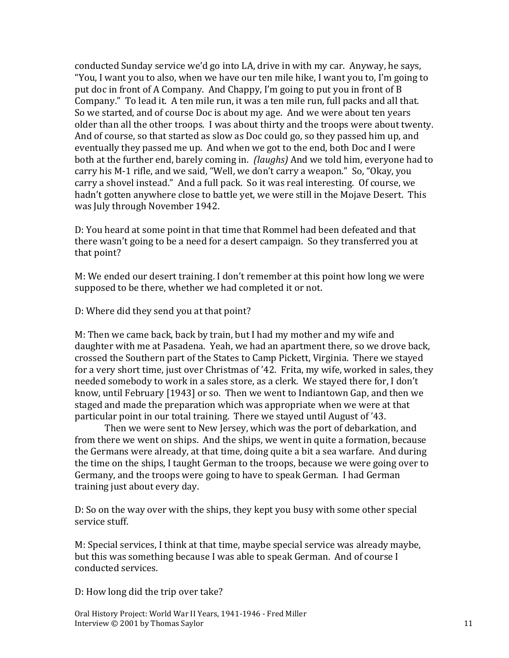conducted Sunday service we'd go into LA, drive in with my car. Anyway, he says, "You, I want you to also, when we have our ten mile hike, I want you to, I'm going to put doc in front of A Company. And Chappy, I'm going to put you in front of B Company." To lead it. A ten mile run, it was a ten mile run, full packs and all that. So we started, and of course Doc is about my age. And we were about ten years older than all the other troops. I was about thirty and the troops were about twenty. And of course, so that started as slow as Doc could go, so they passed him up, and eventually they passed me up. And when we got to the end, both Doc and I were both at the further end, barely coming in. *(laughs)* And we told him, everyone had to carry his M-1 rifle, and we said, "Well, we don't carry a weapon." So, "Okay, you carry a shovel instead." And a full pack. So it was real interesting. Of course, we hadn't gotten anywhere close to battle yet, we were still in the Mojave Desert. This was July through November 1942.

D: You heard at some point in that time that Rommel had been defeated and that there wasn't going to be a need for a desert campaign. So they transferred you at that point?

M: We ended our desert training. I don't remember at this point how long we were supposed to be there, whether we had completed it or not.

D: Where did they send you at that point?

M: Then we came back, back by train, but I had my mother and my wife and daughter with me at Pasadena. Yeah, we had an apartment there, so we drove back, crossed the Southern part of the States to Camp Pickett, Virginia. There we stayed for a very short time, just over Christmas of '42. Frita, my wife, worked in sales, they needed somebody to work in a sales store, as a clerk. We stayed there for, I don't know, until February [1943] or so. Then we went to Indiantown Gap, and then we staged and made the preparation which was appropriate when we were at that particular point in our total training. There we stayed until August of '43.

Then we were sent to New Jersey, which was the port of debarkation, and from there we went on ships. And the ships, we went in quite a formation, because the Germans were already, at that time, doing quite a bit a sea warfare. And during the time on the ships, I taught German to the troops, because we were going over to Germany, and the troops were going to have to speak German. I had German training just about every day.

D: So on the way over with the ships, they kept you busy with some other special service stuff.

M: Special services, I think at that time, maybe special service was already maybe, but this was something because I was able to speak German. And of course I conducted services.

D: How long did the trip over take?

Oral History Project: World War II Years, 1941-1946 - Fred Miller Interview © 2001 by Thomas Saylor 11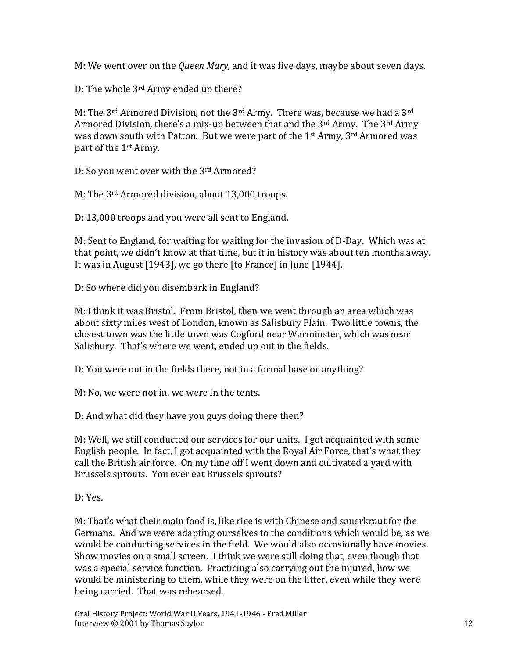M: We went over on the *Queen Mary,* and it was five days, maybe about seven days.

D: The whole 3rd Army ended up there?

M: The 3rd Armored Division, not the 3rd Army. There was, because we had a 3rd Armored Division, there's a mix-up between that and the 3rd Army. The 3rd Army was down south with Patton. But we were part of the  $1<sup>st</sup> Arm, 3<sup>rd</sup> Armored was$ part of the 1st Army.

D: So you went over with the 3rd Armored?

M: The 3rd Armored division, about 13,000 troops.

D: 13,000 troops and you were all sent to England.

M: Sent to England, for waiting for waiting for the invasion of D-Day. Which was at that point, we didn't know at that time, but it in history was about ten months away. It was in August [1943], we go there [to France] in June [1944].

D: So where did you disembark in England?

M: I think it was Bristol. From Bristol, then we went through an area which was about sixty miles west of London, known as Salisbury Plain. Two little towns, the closest town was the little town was Cogford near Warminster, which was near Salisbury. That's where we went, ended up out in the fields.

D: You were out in the fields there, not in a formal base or anything?

M: No, we were not in, we were in the tents.

D: And what did they have you guys doing there then?

M: Well, we still conducted our services for our units. I got acquainted with some English people. In fact, I got acquainted with the Royal Air Force, that's what they call the British air force. On my time off I went down and cultivated a yard with Brussels sprouts. You ever eat Brussels sprouts?

D: Yes.

M: That's what their main food is, like rice is with Chinese and sauerkraut for the Germans. And we were adapting ourselves to the conditions which would be, as we would be conducting services in the field. We would also occasionally have movies. Show movies on a small screen. I think we were still doing that, even though that was a special service function. Practicing also carrying out the injured, how we would be ministering to them, while they were on the litter, even while they were being carried. That was rehearsed.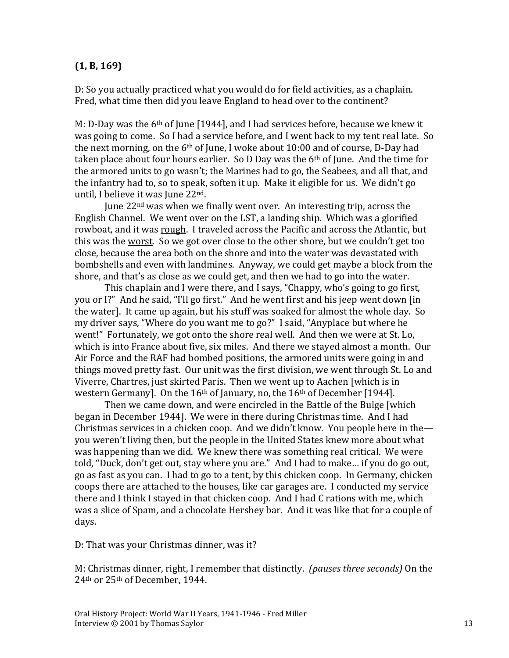### **(1, B, 169)**

D: So you actually practiced what you would do for field activities, as a chaplain. Fred, what time then did you leave England to head over to the continent?

M: D-Day was the 6<sup>th</sup> of June [1944], and I had services before, because we knew it was going to come. So I had a service before, and I went back to my tent real late. So the next morning, on the  $6<sup>th</sup>$  of June, I woke about 10:00 and of course, D-Day had taken place about four hours earlier. So D Day was the  $6<sup>th</sup>$  of June. And the time for the armored units to go wasn't; the Marines had to go, the Seabees, and all that, and the infantry had to, so to speak, soften it up. Make it eligible for us. We didn't go until, I believe it was June 22nd.

June 22nd was when we finally went over. An interesting trip, across the English Channel. We went over on the LST, a landing ship. Which was a glorified rowboat, and it was rough. I traveled across the Pacific and across the Atlantic, but this was the worst. So we got over close to the other shore, but we couldn't get too close, because the area both on the shore and into the water was devastated with bombshells and even with landmines. Anyway, we could get maybe a block from the shore, and that's as close as we could get, and then we had to go into the water.

This chaplain and I were there, and I says, "Chappy, who's going to go first, you or I?" And he said, "I'll go first." And he went first and his jeep went down [in the water]. It came up again, but his stuff was soaked for almost the whole day. So my driver says, "Where do you want me to go?" I said, "Anyplace but where he went!" Fortunately, we got onto the shore real well. And then we were at St. Lo, which is into France about five, six miles. And there we stayed almost a month. Our Air Force and the RAF had bombed positions, the armored units were going in and things moved pretty fast. Our unit was the first division, we went through St. Lo and Viverre, Chartres, just skirted Paris. Then we went up to Aachen [which is in western Germany]. On the 16<sup>th</sup> of January, no, the 16<sup>th</sup> of December [1944].

Then we came down, and were encircled in the Battle of the Bulge [which began in December 1944]. We were in there during Christmas time. And I had Christmas services in a chicken coop. And we didn't know. You people here in the you weren't living then, but the people in the United States knew more about what was happening than we did. We knew there was something real critical. We were told, "Duck, don't get out, stay where you are." And I had to make… if you do go out, go as fast as you can. I had to go to a tent, by this chicken coop. In Germany, chicken coops there are attached to the houses, like car garages are. I conducted my service there and I think I stayed in that chicken coop. And I had C rations with me, which was a slice of Spam, and a chocolate Hershey bar. And it was like that for a couple of days.

D: That was your Christmas dinner, was it?

M: Christmas dinner, right, I remember that distinctly. *(pauses three seconds)* On the 24th or 25th of December, 1944.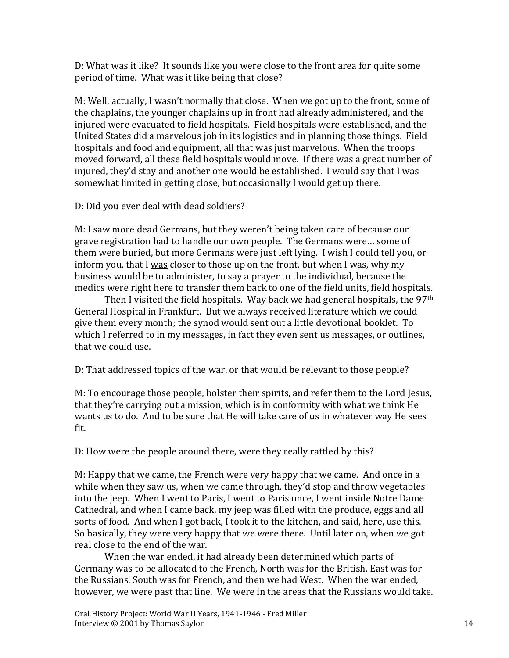D: What was it like? It sounds like you were close to the front area for quite some period of time. What was it like being that close?

M: Well, actually, I wasn't normally that close. When we got up to the front, some of the chaplains, the younger chaplains up in front had already administered, and the injured were evacuated to field hospitals. Field hospitals were established, and the United States did a marvelous job in its logistics and in planning those things. Field hospitals and food and equipment, all that was just marvelous. When the troops moved forward, all these field hospitals would move. If there was a great number of injured, they'd stay and another one would be established. I would say that I was somewhat limited in getting close, but occasionally I would get up there.

D: Did you ever deal with dead soldiers?

M: I saw more dead Germans, but they weren't being taken care of because our grave registration had to handle our own people. The Germans were… some of them were buried, but more Germans were just left lying. I wish I could tell you, or inform you, that I was closer to those up on the front, but when I was, why my business would be to administer, to say a prayer to the individual, because the medics were right here to transfer them back to one of the field units, field hospitals.

Then I visited the field hospitals. Way back we had general hospitals, the 97<sup>th</sup> General Hospital in Frankfurt. But we always received literature which we could give them every month; the synod would sent out a little devotional booklet. To which I referred to in my messages, in fact they even sent us messages, or outlines, that we could use.

D: That addressed topics of the war, or that would be relevant to those people?

M: To encourage those people, bolster their spirits, and refer them to the Lord Jesus, that they're carrying out a mission, which is in conformity with what we think He wants us to do. And to be sure that He will take care of us in whatever way He sees fit.

D: How were the people around there, were they really rattled by this?

M: Happy that we came, the French were very happy that we came. And once in a while when they saw us, when we came through, they'd stop and throw vegetables into the jeep. When I went to Paris, I went to Paris once, I went inside Notre Dame Cathedral, and when I came back, my jeep was filled with the produce, eggs and all sorts of food. And when I got back, I took it to the kitchen, and said, here, use this. So basically, they were very happy that we were there. Until later on, when we got real close to the end of the war.

When the war ended, it had already been determined which parts of Germany was to be allocated to the French, North was for the British, East was for the Russians, South was for French, and then we had West. When the war ended, however, we were past that line. We were in the areas that the Russians would take.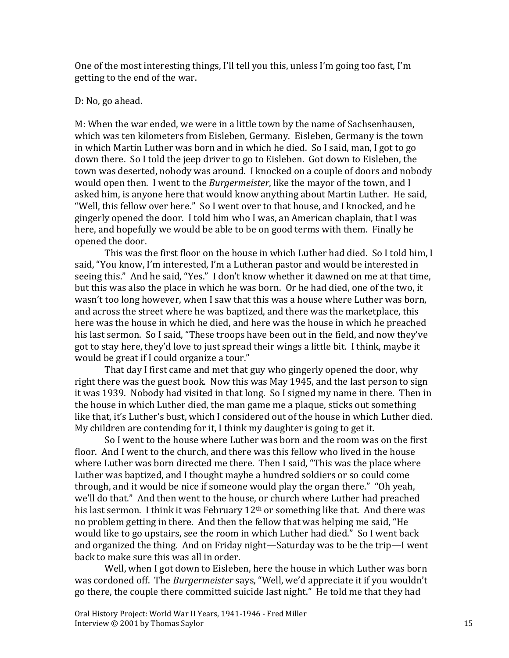One of the most interesting things, I'll tell you this, unless I'm going too fast, I'm getting to the end of the war.

#### D: No, go ahead.

M: When the war ended, we were in a little town by the name of Sachsenhausen, which was ten kilometers from Eisleben, Germany. Eisleben, Germany is the town in which Martin Luther was born and in which he died. So I said, man, I got to go down there. So I told the jeep driver to go to Eisleben. Got down to Eisleben, the town was deserted, nobody was around. I knocked on a couple of doors and nobody would open then. I went to the *Burgermeister*, like the mayor of the town, and I asked him, is anyone here that would know anything about Martin Luther. He said, "Well, this fellow over here." So I went over to that house, and I knocked, and he gingerly opened the door. I told him who I was, an American chaplain, that I was here, and hopefully we would be able to be on good terms with them. Finally he opened the door.

This was the first floor on the house in which Luther had died. So I told him, I said, "You know, I'm interested, I'm a Lutheran pastor and would be interested in seeing this." And he said, "Yes." I don't know whether it dawned on me at that time, but this was also the place in which he was born. Or he had died, one of the two, it wasn't too long however, when I saw that this was a house where Luther was born, and across the street where he was baptized, and there was the marketplace, this here was the house in which he died, and here was the house in which he preached his last sermon. So I said, "These troops have been out in the field, and now they've got to stay here, they'd love to just spread their wings a little bit. I think, maybe it would be great if I could organize a tour."

That day I first came and met that guy who gingerly opened the door, why right there was the guest book. Now this was May 1945, and the last person to sign it was 1939. Nobody had visited in that long. So I signed my name in there. Then in the house in which Luther died, the man game me a plaque, sticks out something like that, it's Luther's bust, which I considered out of the house in which Luther died. My children are contending for it, I think my daughter is going to get it.

So I went to the house where Luther was born and the room was on the first floor. And I went to the church, and there was this fellow who lived in the house where Luther was born directed me there. Then I said, "This was the place where Luther was baptized, and I thought maybe a hundred soldiers or so could come through, and it would be nice if someone would play the organ there." "Oh yeah, we'll do that." And then went to the house, or church where Luther had preached his last sermon. I think it was February 12<sup>th</sup> or something like that. And there was no problem getting in there. And then the fellow that was helping me said, "He would like to go upstairs, see the room in which Luther had died." So I went back and organized the thing. And on Friday night—Saturday was to be the trip—I went back to make sure this was all in order.

Well, when I got down to Eisleben, here the house in which Luther was born was cordoned off. The *Burgermeister* says, "Well, we'd appreciate it if you wouldn't go there, the couple there committed suicide last night." He told me that they had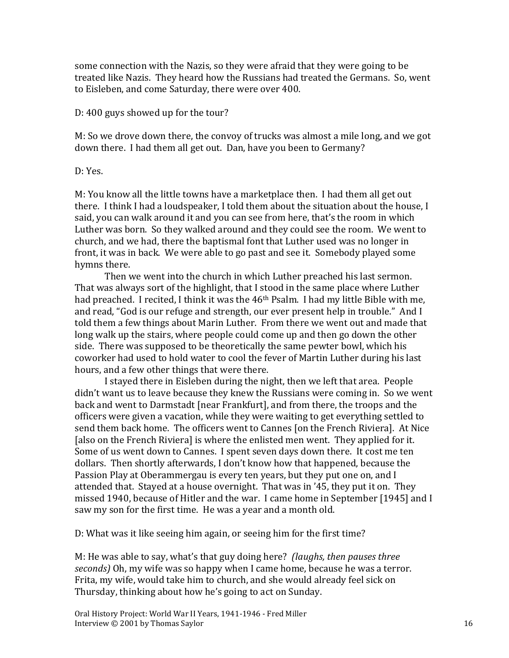some connection with the Nazis, so they were afraid that they were going to be treated like Nazis. They heard how the Russians had treated the Germans. So, went to Eisleben, and come Saturday, there were over 400.

D: 400 guys showed up for the tour?

M: So we drove down there, the convoy of trucks was almost a mile long, and we got down there. I had them all get out. Dan, have you been to Germany?

D: Yes.

M: You know all the little towns have a marketplace then. I had them all get out there. I think I had a loudspeaker, I told them about the situation about the house, I said, you can walk around it and you can see from here, that's the room in which Luther was born. So they walked around and they could see the room. We went to church, and we had, there the baptismal font that Luther used was no longer in front, it was in back. We were able to go past and see it. Somebody played some hymns there.

Then we went into the church in which Luther preached his last sermon. That was always sort of the highlight, that I stood in the same place where Luther had preached. I recited, I think it was the 46th Psalm. I had my little Bible with me, and read, "God is our refuge and strength, our ever present help in trouble." And I told them a few things about Marin Luther. From there we went out and made that long walk up the stairs, where people could come up and then go down the other side. There was supposed to be theoretically the same pewter bowl, which his coworker had used to hold water to cool the fever of Martin Luther during his last hours, and a few other things that were there.

I stayed there in Eisleben during the night, then we left that area. People didn't want us to leave because they knew the Russians were coming in. So we went back and went to Darmstadt [near Frankfurt], and from there, the troops and the officers were given a vacation, while they were waiting to get everything settled to send them back home. The officers went to Cannes [on the French Riviera]. At Nice [also on the French Riviera] is where the enlisted men went. They applied for it. Some of us went down to Cannes. I spent seven days down there. It cost me ten dollars. Then shortly afterwards, I don't know how that happened, because the Passion Play at Oberammergau is every ten years, but they put one on, and I attended that. Stayed at a house overnight. That was in '45, they put it on. They missed 1940, because of Hitler and the war. I came home in September [1945] and I saw my son for the first time. He was a year and a month old.

D: What was it like seeing him again, or seeing him for the first time?

M: He was able to say, what's that guy doing here? *(laughs, then pauses three seconds)* Oh, my wife was so happy when I came home, because he was a terror. Frita, my wife, would take him to church, and she would already feel sick on Thursday, thinking about how he's going to act on Sunday.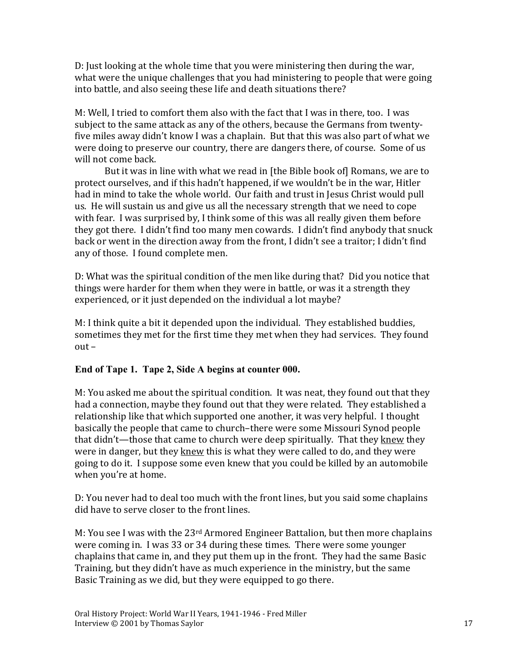D: Just looking at the whole time that you were ministering then during the war, what were the unique challenges that you had ministering to people that were going into battle, and also seeing these life and death situations there?

M: Well, I tried to comfort them also with the fact that I was in there, too. I was subject to the same attack as any of the others, because the Germans from twentyfive miles away didn't know I was a chaplain. But that this was also part of what we were doing to preserve our country, there are dangers there, of course. Some of us will not come back.

But it was in line with what we read in [the Bible book of] Romans, we are to protect ourselves, and if this hadn't happened, if we wouldn't be in the war, Hitler had in mind to take the whole world. Our faith and trust in Jesus Christ would pull us. He will sustain us and give us all the necessary strength that we need to cope with fear. I was surprised by, I think some of this was all really given them before they got there. I didn't find too many men cowards. I didn't find anybody that snuck back or went in the direction away from the front, I didn't see a traitor; I didn't find any of those. I found complete men.

D: What was the spiritual condition of the men like during that? Did you notice that things were harder for them when they were in battle, or was it a strength they experienced, or it just depended on the individual a lot maybe?

M: I think quite a bit it depended upon the individual. They established buddies, sometimes they met for the first time they met when they had services. They found out –

### **End of Tape 1. Tape 2, Side A begins at counter 000.**

M: You asked me about the spiritual condition. It was neat, they found out that they had a connection, maybe they found out that they were related. They established a relationship like that which supported one another, it was very helpful. I thought basically the people that came to church–there were some Missouri Synod people that didn't—those that came to church were deep spiritually. That they knew they were in danger, but they knew this is what they were called to do, and they were going to do it. I suppose some even knew that you could be killed by an automobile when you're at home.

D: You never had to deal too much with the front lines, but you said some chaplains did have to serve closer to the front lines.

M: You see I was with the 23rd Armored Engineer Battalion, but then more chaplains were coming in. I was 33 or 34 during these times. There were some younger chaplains that came in, and they put them up in the front. They had the same Basic Training, but they didn't have as much experience in the ministry, but the same Basic Training as we did, but they were equipped to go there.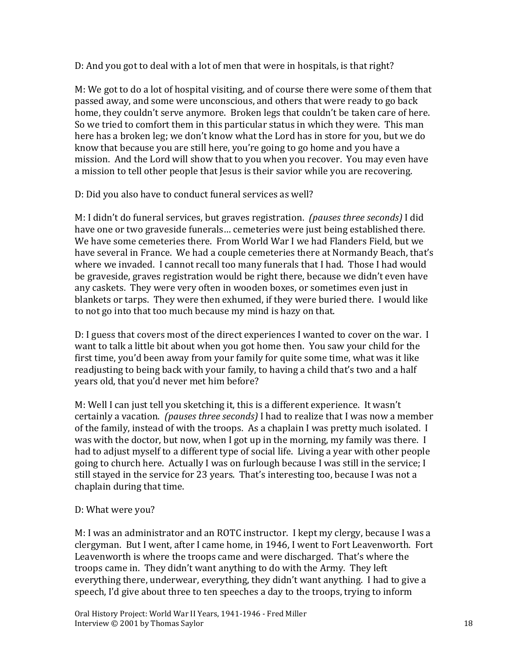D: And you got to deal with a lot of men that were in hospitals, is that right?

M: We got to do a lot of hospital visiting, and of course there were some of them that passed away, and some were unconscious, and others that were ready to go back home, they couldn't serve anymore. Broken legs that couldn't be taken care of here. So we tried to comfort them in this particular status in which they were. This man here has a broken leg; we don't know what the Lord has in store for you, but we do know that because you are still here, you're going to go home and you have a mission. And the Lord will show that to you when you recover. You may even have a mission to tell other people that Jesus is their savior while you are recovering.

D: Did you also have to conduct funeral services as well?

M: I didn't do funeral services, but graves registration. *(pauses three seconds)* I did have one or two graveside funerals… cemeteries were just being established there. We have some cemeteries there. From World War I we had Flanders Field, but we have several in France. We had a couple cemeteries there at Normandy Beach, that's where we invaded. I cannot recall too many funerals that I had. Those I had would be graveside, graves registration would be right there, because we didn't even have any caskets. They were very often in wooden boxes, or sometimes even just in blankets or tarps. They were then exhumed, if they were buried there. I would like to not go into that too much because my mind is hazy on that.

D: I guess that covers most of the direct experiences I wanted to cover on the war. I want to talk a little bit about when you got home then. You saw your child for the first time, you'd been away from your family for quite some time, what was it like readjusting to being back with your family, to having a child that's two and a half years old, that you'd never met him before?

M: Well I can just tell you sketching it, this is a different experience. It wasn't certainly a vacation. *(pauses three seconds)* I had to realize that I was now a member of the family, instead of with the troops. As a chaplain I was pretty much isolated. I was with the doctor, but now, when I got up in the morning, my family was there. I had to adjust myself to a different type of social life. Living a year with other people going to church here. Actually I was on furlough because I was still in the service; I still stayed in the service for 23 years. That's interesting too, because I was not a chaplain during that time.

## D: What were you?

M: I was an administrator and an ROTC instructor. I kept my clergy, because I was a clergyman. But I went, after I came home, in 1946, I went to Fort Leavenworth. Fort Leavenworth is where the troops came and were discharged. That's where the troops came in. They didn't want anything to do with the Army. They left everything there, underwear, everything, they didn't want anything. I had to give a speech, I'd give about three to ten speeches a day to the troops, trying to inform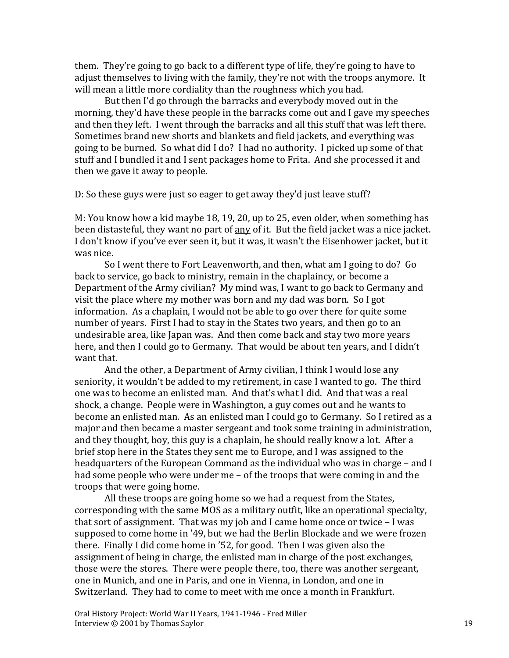them. They're going to go back to a different type of life, they're going to have to adjust themselves to living with the family, they're not with the troops anymore. It will mean a little more cordiality than the roughness which you had.

But then I'd go through the barracks and everybody moved out in the morning, they'd have these people in the barracks come out and I gave my speeches and then they left. I went through the barracks and all this stuff that was left there. Sometimes brand new shorts and blankets and field jackets, and everything was going to be burned. So what did I do? I had no authority. I picked up some of that stuff and I bundled it and I sent packages home to Frita. And she processed it and then we gave it away to people.

D: So these guys were just so eager to get away they'd just leave stuff?

M: You know how a kid maybe 18, 19, 20, up to 25, even older, when something has been distasteful, they want no part of any of it. But the field jacket was a nice jacket. I don't know if you've ever seen it, but it was, it wasn't the Eisenhower jacket, but it was nice.

So I went there to Fort Leavenworth, and then, what am I going to do? Go back to service, go back to ministry, remain in the chaplaincy, or become a Department of the Army civilian? My mind was, I want to go back to Germany and visit the place where my mother was born and my dad was born. So I got information. As a chaplain, I would not be able to go over there for quite some number of years. First I had to stay in the States two years, and then go to an undesirable area, like Japan was. And then come back and stay two more years here, and then I could go to Germany. That would be about ten years, and I didn't want that.

And the other, a Department of Army civilian, I think I would lose any seniority, it wouldn't be added to my retirement, in case I wanted to go. The third one was to become an enlisted man. And that's what I did. And that was a real shock, a change. People were in Washington, a guy comes out and he wants to become an enlisted man. As an enlisted man I could go to Germany. So I retired as a major and then became a master sergeant and took some training in administration, and they thought, boy, this guy is a chaplain, he should really know a lot. After a brief stop here in the States they sent me to Europe, and I was assigned to the headquarters of the European Command as the individual who was in charge – and I had some people who were under me – of the troops that were coming in and the troops that were going home.

All these troops are going home so we had a request from the States, corresponding with the same MOS as a military outfit, like an operational specialty, that sort of assignment. That was my job and I came home once or twice – I was supposed to come home in '49, but we had the Berlin Blockade and we were frozen there. Finally I did come home in '52, for good. Then I was given also the assignment of being in charge, the enlisted man in charge of the post exchanges, those were the stores. There were people there, too, there was another sergeant, one in Munich, and one in Paris, and one in Vienna, in London, and one in Switzerland. They had to come to meet with me once a month in Frankfurt.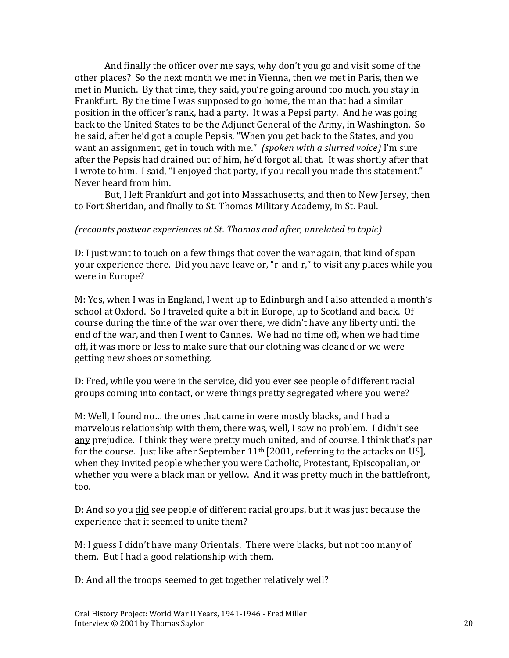And finally the officer over me says, why don't you go and visit some of the other places? So the next month we met in Vienna, then we met in Paris, then we met in Munich. By that time, they said, you're going around too much, you stay in Frankfurt. By the time I was supposed to go home, the man that had a similar position in the officer's rank, had a party. It was a Pepsi party. And he was going back to the United States to be the Adjunct General of the Army, in Washington. So he said, after he'd got a couple Pepsis, "When you get back to the States, and you want an assignment, get in touch with me." *(spoken with a slurred voice)* I'm sure after the Pepsis had drained out of him, he'd forgot all that. It was shortly after that I wrote to him. I said, "I enjoyed that party, if you recall you made this statement." Never heard from him.

But, I left Frankfurt and got into Massachusetts, and then to New Jersey, then to Fort Sheridan, and finally to St. Thomas Military Academy, in St. Paul.

#### *(recounts postwar experiences at St. Thomas and after, unrelated to topic)*

D: I just want to touch on a few things that cover the war again, that kind of span your experience there. Did you have leave or, "r-and-r," to visit any places while you were in Europe?

M: Yes, when I was in England, I went up to Edinburgh and I also attended a month's school at Oxford. So I traveled quite a bit in Europe, up to Scotland and back. Of course during the time of the war over there, we didn't have any liberty until the end of the war, and then I went to Cannes. We had no time off, when we had time off, it was more or less to make sure that our clothing was cleaned or we were getting new shoes or something.

D: Fred, while you were in the service, did you ever see people of different racial groups coming into contact, or were things pretty segregated where you were?

M: Well, I found no… the ones that came in were mostly blacks, and I had a marvelous relationship with them, there was, well, I saw no problem. I didn't see any prejudice. I think they were pretty much united, and of course, I think that's par for the course. Just like after September  $11<sup>th</sup>$  [2001, referring to the attacks on US], when they invited people whether you were Catholic, Protestant, Episcopalian, or whether you were a black man or yellow. And it was pretty much in the battlefront, too.

D: And so you did see people of different racial groups, but it was just because the experience that it seemed to unite them?

M: I guess I didn't have many Orientals. There were blacks, but not too many of them. But I had a good relationship with them.

D: And all the troops seemed to get together relatively well?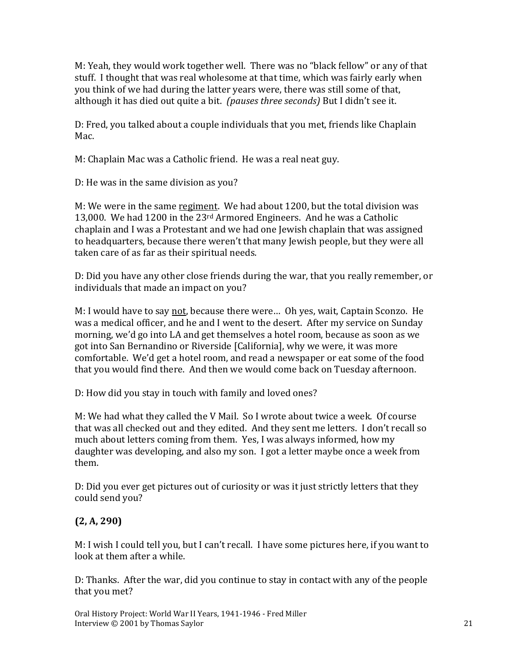M: Yeah, they would work together well. There was no "black fellow" or any of that stuff. I thought that was real wholesome at that time, which was fairly early when you think of we had during the latter years were, there was still some of that, although it has died out quite a bit. *(pauses three seconds)* But I didn't see it.

D: Fred, you talked about a couple individuals that you met, friends like Chaplain Mac.

M: Chaplain Mac was a Catholic friend. He was a real neat guy.

D: He was in the same division as you?

M: We were in the same regiment. We had about 1200, but the total division was 13,000. We had 1200 in the  $23<sup>rd</sup>$  Armored Engineers. And he was a Catholic chaplain and I was a Protestant and we had one Jewish chaplain that was assigned to headquarters, because there weren't that many Jewish people, but they were all taken care of as far as their spiritual needs.

D: Did you have any other close friends during the war, that you really remember, or individuals that made an impact on you?

M: I would have to say not, because there were... Oh yes, wait, Captain Sconzo. He was a medical officer, and he and I went to the desert. After my service on Sunday morning, we'd go into LA and get themselves a hotel room, because as soon as we got into San Bernandino or Riverside [California], why we were, it was more comfortable. We'd get a hotel room, and read a newspaper or eat some of the food that you would find there. And then we would come back on Tuesday afternoon.

D: How did you stay in touch with family and loved ones?

M: We had what they called the V Mail. So I wrote about twice a week. Of course that was all checked out and they edited. And they sent me letters. I don't recall so much about letters coming from them. Yes, I was always informed, how my daughter was developing, and also my son. I got a letter maybe once a week from them.

D: Did you ever get pictures out of curiosity or was it just strictly letters that they could send you?

## **(2, A, 290)**

M: I wish I could tell you, but I can't recall. I have some pictures here, if you want to look at them after a while.

D: Thanks. After the war, did you continue to stay in contact with any of the people that you met?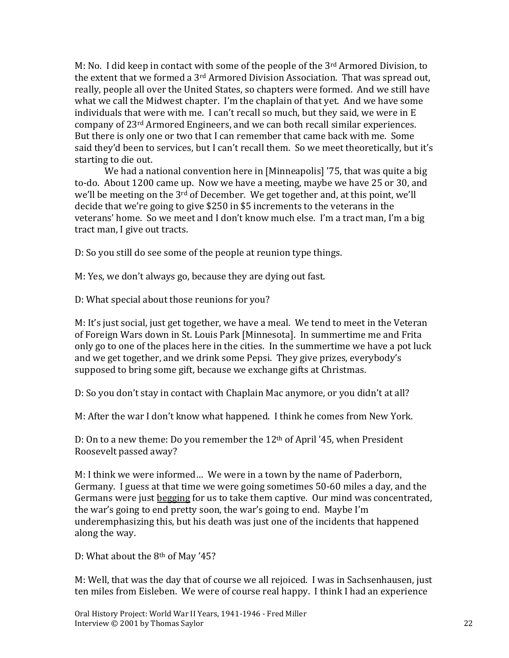M: No. I did keep in contact with some of the people of the 3rd Armored Division, to the extent that we formed a 3<sup>rd</sup> Armored Division Association. That was spread out, really, people all over the United States, so chapters were formed. And we still have what we call the Midwest chapter. I'm the chaplain of that yet. And we have some individuals that were with me. I can't recall so much, but they said, we were in E company of 23rd Armored Engineers, and we can both recall similar experiences. But there is only one or two that I can remember that came back with me. Some said they'd been to services, but I can't recall them. So we meet theoretically, but it's starting to die out.

We had a national convention here in [Minneapolis] '75, that was quite a big to-do. About 1200 came up. Now we have a meeting, maybe we have 25 or 30, and we'll be meeting on the  $3<sup>rd</sup>$  of December. We get together and, at this point, we'll decide that we're going to give \$250 in \$5 increments to the veterans in the veterans' home. So we meet and I don't know much else. I'm a tract man, I'm a big tract man, I give out tracts.

D: So you still do see some of the people at reunion type things.

M: Yes, we don't always go, because they are dying out fast.

D: What special about those reunions for you?

M: It's just social, just get together, we have a meal. We tend to meet in the Veteran of Foreign Wars down in St. Louis Park [Minnesota]. In summertime me and Frita only go to one of the places here in the cities. In the summertime we have a pot luck and we get together, and we drink some Pepsi. They give prizes, everybody's supposed to bring some gift, because we exchange gifts at Christmas.

D: So you don't stay in contact with Chaplain Mac anymore, or you didn't at all?

M: After the war I don't know what happened. I think he comes from New York.

D: On to a new theme: Do you remember the  $12<sup>th</sup>$  of April '45, when President Roosevelt passed away?

M: I think we were informed… We were in a town by the name of Paderborn, Germany. I guess at that time we were going sometimes 50-60 miles a day, and the Germans were just begging for us to take them captive. Our mind was concentrated, the war's going to end pretty soon, the war's going to end. Maybe I'm underemphasizing this, but his death was just one of the incidents that happened along the way.

D: What about the 8th of May '45?

M: Well, that was the day that of course we all rejoiced. I was in Sachsenhausen, just ten miles from Eisleben. We were of course real happy. I think I had an experience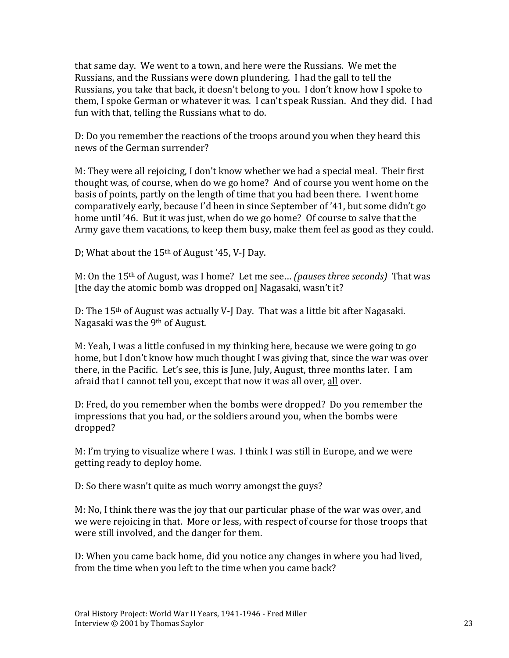that same day. We went to a town, and here were the Russians. We met the Russians, and the Russians were down plundering. I had the gall to tell the Russians, you take that back, it doesn't belong to you. I don't know how I spoke to them, I spoke German or whatever it was. I can't speak Russian. And they did. I had fun with that, telling the Russians what to do.

D: Do you remember the reactions of the troops around you when they heard this news of the German surrender?

M: They were all rejoicing, I don't know whether we had a special meal. Their first thought was, of course, when do we go home? And of course you went home on the basis of points, partly on the length of time that you had been there. I went home comparatively early, because I'd been in since September of '41, but some didn't go home until '46. But it was just, when do we go home? Of course to salve that the Army gave them vacations, to keep them busy, make them feel as good as they could.

D; What about the 15th of August '45, V-J Day.

M: On the 15th of August, was I home? Let me see… *(pauses three seconds)* That was [the day the atomic bomb was dropped on] Nagasaki, wasn't it?

D: The 15<sup>th</sup> of August was actually V-J Day. That was a little bit after Nagasaki. Nagasaki was the 9th of August.

M: Yeah, I was a little confused in my thinking here, because we were going to go home, but I don't know how much thought I was giving that, since the war was over there, in the Pacific. Let's see, this is June, July, August, three months later. I am afraid that I cannot tell you, except that now it was all over, all over.

D: Fred, do you remember when the bombs were dropped? Do you remember the impressions that you had, or the soldiers around you, when the bombs were dropped?

M: I'm trying to visualize where I was. I think I was still in Europe, and we were getting ready to deploy home.

D: So there wasn't quite as much worry amongst the guys?

M: No, I think there was the joy that our particular phase of the war was over, and we were rejoicing in that. More or less, with respect of course for those troops that were still involved, and the danger for them.

D: When you came back home, did you notice any changes in where you had lived, from the time when you left to the time when you came back?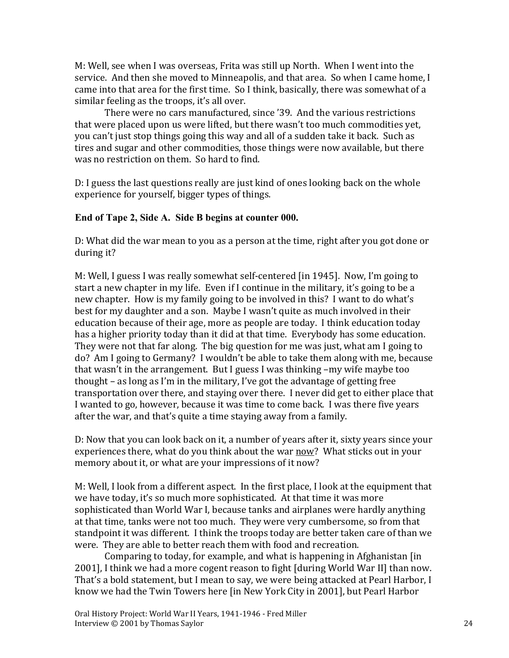M: Well, see when I was overseas, Frita was still up North. When I went into the service. And then she moved to Minneapolis, and that area. So when I came home, I came into that area for the first time. So I think, basically, there was somewhat of a similar feeling as the troops, it's all over.

There were no cars manufactured, since '39. And the various restrictions that were placed upon us were lifted, but there wasn't too much commodities yet, you can't just stop things going this way and all of a sudden take it back. Such as tires and sugar and other commodities, those things were now available, but there was no restriction on them. So hard to find.

D: I guess the last questions really are just kind of ones looking back on the whole experience for yourself, bigger types of things.

### **End of Tape 2, Side A. Side B begins at counter 000.**

D: What did the war mean to you as a person at the time, right after you got done or during it?

M: Well, I guess I was really somewhat self-centered [in 1945]. Now, I'm going to start a new chapter in my life. Even if I continue in the military, it's going to be a new chapter. How is my family going to be involved in this? I want to do what's best for my daughter and a son. Maybe I wasn't quite as much involved in their education because of their age, more as people are today. I think education today has a higher priority today than it did at that time. Everybody has some education. They were not that far along. The big question for me was just, what am I going to do? Am I going to Germany? I wouldn't be able to take them along with me, because that wasn't in the arrangement. But I guess I was thinking –my wife maybe too thought – as long as I'm in the military, I've got the advantage of getting free transportation over there, and staying over there. I never did get to either place that I wanted to go, however, because it was time to come back. I was there five years after the war, and that's quite a time staying away from a family.

D: Now that you can look back on it, a number of years after it, sixty years since your experiences there, what do you think about the war now? What sticks out in your memory about it, or what are your impressions of it now?

M: Well, I look from a different aspect. In the first place, I look at the equipment that we have today, it's so much more sophisticated. At that time it was more sophisticated than World War I, because tanks and airplanes were hardly anything at that time, tanks were not too much. They were very cumbersome, so from that standpoint it was different. I think the troops today are better taken care of than we were. They are able to better reach them with food and recreation.

Comparing to today, for example, and what is happening in Afghanistan [in 2001], I think we had a more cogent reason to fight [during World War II] than now. That's a bold statement, but I mean to say, we were being attacked at Pearl Harbor, I know we had the Twin Towers here [in New York City in 2001], but Pearl Harbor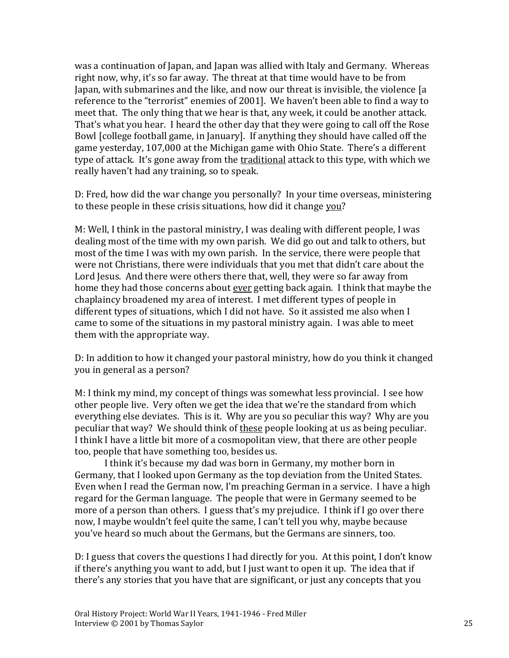was a continuation of Japan, and Japan was allied with Italy and Germany. Whereas right now, why, it's so far away. The threat at that time would have to be from Japan, with submarines and the like, and now our threat is invisible, the violence [a reference to the "terrorist" enemies of 2001]. We haven't been able to find a way to meet that. The only thing that we hear is that, any week, it could be another attack. That's what you hear. I heard the other day that they were going to call off the Rose Bowl [college football game, in January]. If anything they should have called off the game yesterday, 107,000 at the Michigan game with Ohio State. There's a different type of attack. It's gone away from the traditional attack to this type, with which we really haven't had any training, so to speak.

D: Fred, how did the war change you personally? In your time overseas, ministering to these people in these crisis situations, how did it change you?

M: Well, I think in the pastoral ministry, I was dealing with different people, I was dealing most of the time with my own parish. We did go out and talk to others, but most of the time I was with my own parish. In the service, there were people that were not Christians, there were individuals that you met that didn't care about the Lord Jesus. And there were others there that, well, they were so far away from home they had those concerns about ever getting back again. I think that maybe the chaplaincy broadened my area of interest. I met different types of people in different types of situations, which I did not have. So it assisted me also when I came to some of the situations in my pastoral ministry again. I was able to meet them with the appropriate way.

D: In addition to how it changed your pastoral ministry, how do you think it changed you in general as a person?

M: I think my mind, my concept of things was somewhat less provincial. I see how other people live. Very often we get the idea that we're the standard from which everything else deviates. This is it. Why are you so peculiar this way? Why are you peculiar that way? We should think of these people looking at us as being peculiar. I think I have a little bit more of a cosmopolitan view, that there are other people too, people that have something too, besides us.

I think it's because my dad was born in Germany, my mother born in Germany, that I looked upon Germany as the top deviation from the United States. Even when I read the German now, I'm preaching German in a service. I have a high regard for the German language. The people that were in Germany seemed to be more of a person than others. I guess that's my prejudice. I think if I go over there now, I maybe wouldn't feel quite the same, I can't tell you why, maybe because you've heard so much about the Germans, but the Germans are sinners, too.

D: I guess that covers the questions I had directly for you. At this point, I don't know if there's anything you want to add, but I just want to open it up. The idea that if there's any stories that you have that are significant, or just any concepts that you